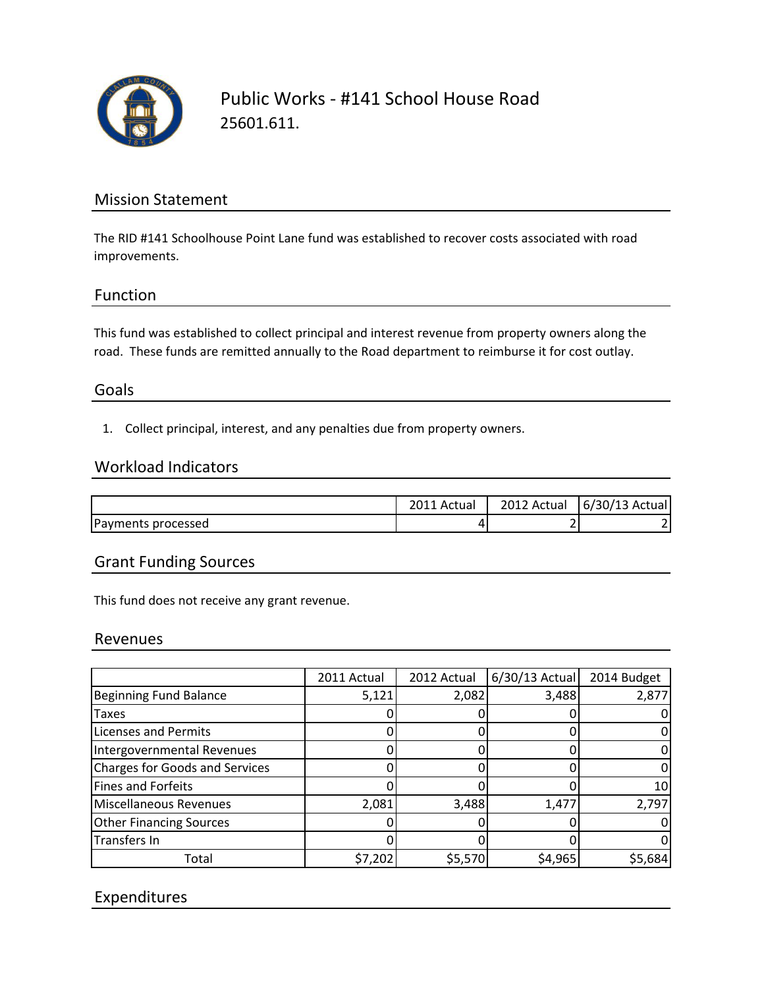

Public Works - #141 School House Road 25601.611.

## Mission Statement

The RID #141 Schoolhouse Point Lane fund was established to recover costs associated with road improvements.

## Function

This fund was established to collect principal and interest revenue from property owners along the road. These funds are remitted annually to the Road department to reimburse it for cost outlay.

## Goals

1. Collect principal, interest, and any penalties due from property owners.

#### Workload Indicators

|                    | Actual | 2012 Actual | $6/30/13$ Actual |
|--------------------|--------|-------------|------------------|
| Payments processed | 4      |             |                  |

## Grant Funding Sources

This fund does not receive any grant revenue.

#### Revenues

|                                | 2011 Actual | 2012 Actual | $6/30/13$ Actual | 2014 Budget |
|--------------------------------|-------------|-------------|------------------|-------------|
| Beginning Fund Balance         | 5,121       | 2,082       | 3,488            | 2,877       |
| <b>Taxes</b>                   |             |             |                  |             |
| <b>Licenses and Permits</b>    |             |             |                  |             |
| Intergovernmental Revenues     |             |             |                  |             |
| Charges for Goods and Services |             |             |                  |             |
| Fines and Forfeits             |             |             |                  | 10          |
| Miscellaneous Revenues         | 2,081       | 3,488       | 1,477            | 2,797       |
| <b>Other Financing Sources</b> |             |             |                  |             |
| Transfers In                   |             |             |                  |             |
| Total                          | \$7,202     | \$5,570     | \$4,965          | \$5,684     |

# Expenditures